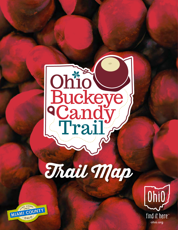

# Trait Map



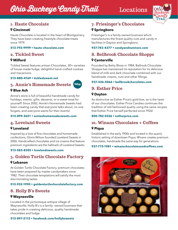# *Ohio Buckeye Candy Thail* Locations



# **1. Haute Chocolate**

#### **Cincinnati**

Haute Chocolate is located in the heart of Montgomery. They have been creating freestyle chocolate treats since 1979.

#### **513-793-9999 • [haute-chocolate.com](http://haute-chocolate.com)**

# **2. Tickled Sweet**

#### **Milford**

Tickled Sweet features artisan Chocolates, 30+ varieties of house-made fudge, delightful hand-crafted cookies and macaroons.

#### **513-880-4169 • [tickledsweet.net](http://tickledsweet.net)**

# **3. Annie's Homemade Sweets**



#### **Blue Ash**

Annie's store is full of beautiful handmade candy for holidays, events, gifts, desserts, or a sweet treat for yourself! Since 2002, Annie's Homemade Sweets had been creating candy that everyone talks about, no one forgets, and everyone wants for their events!

#### **513-899-3651 • [annieshomemadesweets.com](https://www.annieshomemadesweets.com/)**

# **4. Loveland Sweets**

#### **Loveland**

Inspired by a love of fine chocolates and homemade confections, Gloria Wilson founded Loveland Sweets in 2006. Handcrafted chocolates and ice creams that feature premium ingredients are the hallmark of Loveland Sweets.

#### **513-583-8305 • [lovelandsweets.com](http://lovelandsweets.com)**

# **5. Golden Turtle Chocolate Factory**

#### **Lebanon**

At Golden Turtle Chocolate Factory, premium chocolates have been prepared by master candymakers since 1982. Their chocolate temptations will satisfy the most discriminating tastes.

#### **513-932-1990 • [goldenturtlechocolatefactory.com](http://goldenturtlechocolatefactory.com)**

# **6. Holly B's Sweets**

#### **Waynesville**

Located in the picturesque antique village of Waynesville, Holly B's is a family- owned business that takes pride in creating delicious, quality handmade chocolates and fudge.

#### **513-897-2112 • [facebook.com/hollybsweets](http://facebook.com/hollybsweets)**

# **7. Friesinger's Chocolates**

#### **Springboro**

Friesinger's is a family owned business which manufactures the finest quality nuts and candy in facilities in Dayton and Springboro.

#### **937-743-4377 • [candyandnutstore.com](http://candyandnutstore.com)**

# **8. Bellbrook Chocolate Shoppe**

#### **Centerville**

Founded by Betty Blose in 1984, Bellrook Chocolate Shoppe has maintained its reputation for its delicious blend of milk and dark chooclate combined with our handmade creams, nuts and other fillings.

#### **937-436-5066 [• bellbrookchocolates.com](http://bellbrookchocolates.com)**

# **9. Esther Price**

#### **Dayton**

As distinctive as Esther Price's gold box, so is the taste of our chocolates. Esther Price Candies continues the tradition of old-fashioned quality using the same recipes that Esther Price herself perfected since 1926!

#### **800-782-0326 • [estherprice.com](http://www.estherprice.com/)**

# **10. Winans Chocolates + Coffees**

#### **Piqua**

Established in the early 1900s and located in the quaint, historic setting of downtown Piqua, Winans creates premium chocolates, handmade the same way for generations.

#### **937-773-1981 • [winanschocolatesandcoffees.com](http://winanschocolatesandcoffees.com)**

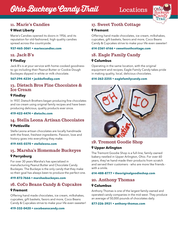# *Ohio Buckeye Candy Thail* Locations



# **11. Marie's Candies**

#### **West Liberty**

Marie's Candies opened its doors in 1956, and its reputation for old-fashioned, high quality candies spread across the countryside.

#### **937-465-3061 • [mariescandies.com](http://mariescandies.com)**

# **12. Jack-B's**

#### **Findlay**

Jack-B's is at your service with home-cooked goodnessto-go including their Peanut Butter or Cookie Dough Buckeyes dipped in white or milk chocolate.

#### **567-294-4234 • [jackbsfindlay.com](http://jackbsfindlay.com)**

#### **13. Dietsch Bros Fine Chocolates & Ice Cream**

#### **Findlay**

In 1937, Dietsch Brothers began producing fine chocolates and ice cream using original family recipes and have been producing delicious, quality products ever since.

#### **419-422-4474 • [dietschs.com](http://dietschs.com)**

# **14. Stella Leona Artisan Chocolates**

#### **Pettisville**

Stella Leona artisan chocolates are locally handmade with the finest, freshest ingredients. Passion, love and history goes into everything they make.

#### **419-445-0370 • [stellaleona.com](http://stellaleona.com)**

# **15. Marsha's Homemade Buckeyes**

#### **Perrysburg**

For over 30 years Marsha's has specialized in manufacturing Peanut Butter and Chocolate Candy Buckeyes. The Buckeye is the only candy that they make so their goal has always been to produce the perfect one.

#### **419-872-7666 • [marshasbuckeyes.com](http://marshasbuckeyes.com)**

# **16. CoCo Beans Candy & Cupcakes**

#### **Fremont**

Offering hand made chocolates, ice cream, milkshakes, cupcakes, gift baskets, favors and more, Coco Beans Candy & Cupcakes strive to make your life even sweeter!

#### **419-332-0420 • [cocobeanscandy.com](http://cocobeanscandy.com)**

# **17. Sweet Tooth Cottage**

#### **Fremont**

Offering hand made chocolates, ice cream, milkshakes, cupcakes, gift baskets, favors and more, Coco Beans Candy & Cupcakes strive to make your life even sweeter!

#### **614-2361-6166 • sweettoothcottage[.com](http://sweettoothcottage.com)**

# **18. Eagle Family Candy**

#### **Columbus**

Operating in the same location, with the original equipment and recipes, Eagle Family Candy takes pride in making quality, local, delicious chocolates.

#### **614-262-2255 • [eaglefamilycandy.com](http://eaglefamilycandy.com)**



# **19. Tremont Goodie Shop**

#### **Upper Arlington**

The Tremont Goodie Shop is a full-line, family-owned bakery nestled in Upper Arlington, Ohio. For over 60 years, they've hand-made their products from scratch and served their customers - who are more like friends with a smile.

#### **614-488-8777 • [theoriginalgoodieshop.com](http://theoriginalgoodieshop.com)**

# **20. Anthony Thomas**

#### **Columbus**

Anthony Thomas is one of the largest family-owned and operated candy companies in the mid-west. They produce an average of 50,000 pounds of chocolates daily.

#### **877-226-3921 • [anthony-thomas.com](http://anthony-thomas.com)**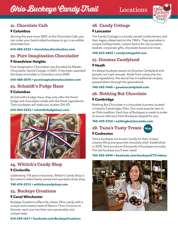

# **21. Chocolate Cafe**

#### **Columbus**

Serving the area since 2007, at the Chocolate Cafe, you can order your hand-rolled buckeyes to go in an edible chocolate box.

#### **614-485-2233 • [chocolatecafecolumbus.com](http://chocolatecafecolumbus.com)**

# **22. Pure Imagination Chocolatier**

#### **Grandview Heights**

Pure Imagination Chocolatier was founded by Master Chocolatier Daniel Cooper in 2001. It has been awarded the finest chocolate in Columbus since 2002.

#### **614-488-3070 • [pureimaginationchocolatier.com](http://pureimaginationchocolatier.com )**

# **23. Schmidt's Fudge Haus**

#### **Columbus**

At Schmidt's Fudge Haus, they only offer the finest fudge and chocolates made with the finest ingredients. Their buckeyes will make you scream OH-IO!

#### **614-444-2222 • [schmidtsfudgehaus.com](http://schmidtsfudgehaus.com)**



# **24. Wittich's Candy Shop**

#### **Circleville**

Celebrating 178 years in business, Wittich's Candy Shop is the nation's oldest family owned and operated candy shop.

#### **740-474-3313 • [wittichscandyshop.com](http://wittichscandyshop.com)**

# **25. Buckeye Creations**

#### **Canal Winchester**

Buckeye Creations offers the classic Ohio candy with a unique and creative twist of flavors. From Coconut to Smores, each one has their own personality and unique taste.

#### **614-209-1617 • [facebook.com/BuckeyeCreations](http://facebook.com/BuckeyeCreations)**

# **26. Candy Cottage**

#### **Lancaster**

The Candy Cottage is a locally owned confectionery and their legacy dates back to the 1960's. They specialize in unique holiday treats, custom favors for any occasion, baskets, corporate gifts, chocolate boxes and more.

#### **740-653-6842 • [candycottageltd.com](http://candycottageltd.com)**

# **27. Goumas Candyland**

#### **Heath**

It's always buckeye season at Goumas Candyland and people can't get enough. Aside from using only the best ingredients, the secret lies in traditional recipes, passed down through the generations.

#### **740-345-7440 • [goumascandyland.com](http://goumascandyland.com)**

# **28. Nothing But Chocolate Cambridge**

Nothing But Chocolate is a chocolate business located in historic Cambridge, Ohio. Our most popular item is an Ohio tradition. Each box of Buckeyes is made to order to ensure delicious fresh Buckeyes dipped for you.

#### **740-439-5754 • [nothingbutchocolate.com](http://nothingbutchocolate.com)**

# **29. Tana's Tasty Treats NEW**



Tana's buckeyes are known locally for their unique creamy filling and gourmet chocolate shell. Established in 2018, Tana produces thousands of buckeyes annually. The last buckeye you'll ever need!

#### **740-502-6949 • [facebook.com/buckeyesTTT/videos](https://www.facebook.com/buckeyesTTT/videos/)**

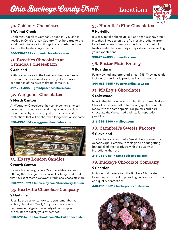

# **30. Coblentz Chocolates**

#### **Walnut Creek**

Coblentz Chocolate Company began in 1987 and is nestled in Ohio's Amish Country. They hold true to the local traditions of doing things the old-fashioned way. We use the freshest ingredients.

#### **800-338-9341 • [coblentzchocolates.com](http://coblentzchocolates.com)**

#### **31. Sweeties Chocolates at Grandpa's Cheesebarn**

#### **Ashland**

With over 40 years in the business, they continue to welcome visitors from all over the globe to savor the experience of their sweet dream come true.

#### **419-281-3202 • [grandpascheesebarn.com](http://grandpascheesebarn.com)**

# **32. Waggoner Chocolates**

#### **North Canton**

At Waggoner Chocolates, they continue their timeless devotion to the worlds most distinguished chocolate connoisseurs by providing quality chocolates and confections that will be cherished for generations to come.

#### **330-433-1834 • [waggonerchocolates.com](http://waggonerchocolates.com)**



# **33. Harry London Candies**

#### **North Canton**

For nearly a century, Fannie May Chocolates has been offering the finest gourmet chocolates, fudge, and candies that have kept them as a favorite traditional chocolate store.

#### **800-999-3629 • [fanniemay.com/store/harry-london](http://fanniemay.com/store/harry-london)**

### **34. Hartville Chocolate Company Hartville**

Just like the corner candy store you remember as a child, Hartville's Candy Shop features creamy, homemade fudge and a variety of hand-dipped chocolates to satisfy your sweet tooth.

#### **330-592-4282 • [facebook.com/HartvilleChocolate](http://facebook.com/HartvilleChocolate)**

# **35. Honadle's Fine Chocolates**

#### **Hartville**

It is easy to take shortcuts, but at Honadle's they aren't into that. They use only the freshest ingredients from local businesses, when possible. From coconut oil to freshly zested lemons, they always strive for exceeding your expectations.

#### **330-267-6033 [• honadles.com](http://honadles.com)**

# **36. Butter Maid Bakery**

#### **Boardman**

Family owned and operated since 1955. They make old fashioned, handmade products in small batches.

#### **844-688-7655 [• buttermaidbakery.com](http://buttermaidbakery.com)**

# **37. Malley's Chocolates Lakewood**

Now in the third generation of family business, Malley's Chocolates is committed to offering quality confections made with the same special-recipe milk and dark chocolate they've earned their stellar reputation providing.

#### **216-226-8300 • [malleys.com](http://malleys.com)**

# **38. Campbell's Sweets Factory Cleveland**

The heritage at Campbell's Sweets begins over four decades ago. Campbell's feels good about getting behind all of their products with the quality of ingredients they use!

#### **216-965-0451 • [campbellssweets.com](http://campbellssweets.com)**

# **39. Buckeye Chocolate Company Chardon**

In its second generation, the Buckeye Chocolate Company is devoted to providing customers with fresh and quality confections.

#### **440-286-5282 • [buckeyechocolate.com](http://buckeyechocolate.com)**